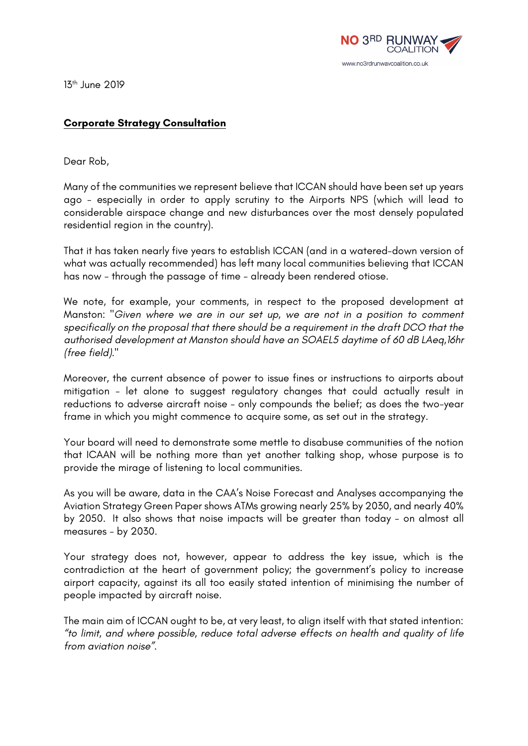

13th June 2019

## **Corporate Strategy Consultation**

Dear Rob,

Many of the communities we represent believe that ICCAN should have been set up years ago - especially in order to apply scrutiny to the Airports NPS (which will lead to considerable airspace change and new disturbances over the most densely populated residential region in the country).

That it has taken nearly five years to establish ICCAN (and in a watered-down version of what was actually recommended) has left many local communities believing that ICCAN has now - through the passage of time - already been rendered otiose.

We note, for example, your comments, in respect to the proposed development at Manston: *"Given where we are in our set up, we are not in a position to comment specifically on the proposal that there should be a requirement in the draft DCO that the authorised development at Manston should have an SOAEL5 daytime of 60 dB LAeq,16hr (free field)."*

Moreover, the current absence of power to issue fines or instructions to airports about mitigation - let alone to suggest regulatory changes that could actually result in reductions to adverse aircraft noise - only compounds the belief; as does the two-year frame in which you might commence to acquire some, as set out in the strategy.

Your board will need to demonstrate some mettle to disabuse communities of the notion that ICAAN will be nothing more than yet another talking shop, whose purpose is to provide the mirage of listening to local communities.

As you will be aware, data in the CAA's Noise Forecast and Analyses accompanying the Aviation Strategy Green Paper shows ATMs growing nearly 25% by 2030, and nearly 40% by 2050. It also shows that noise impacts will be greater than today - on almost all measures - by 2030.

Your strategy does not, however, appear to address the key issue, which is the contradiction at the heart of government policy; the government's policy to increase airport capacity, against its all too easily stated intention of minimising the number of people impacted by aircraft noise.

The main aim of ICCAN ought to be, at very least, to align itself with that stated intention: *"to limit, and where possible, reduce total adverse effects on health and quality of life from aviation noise"*.